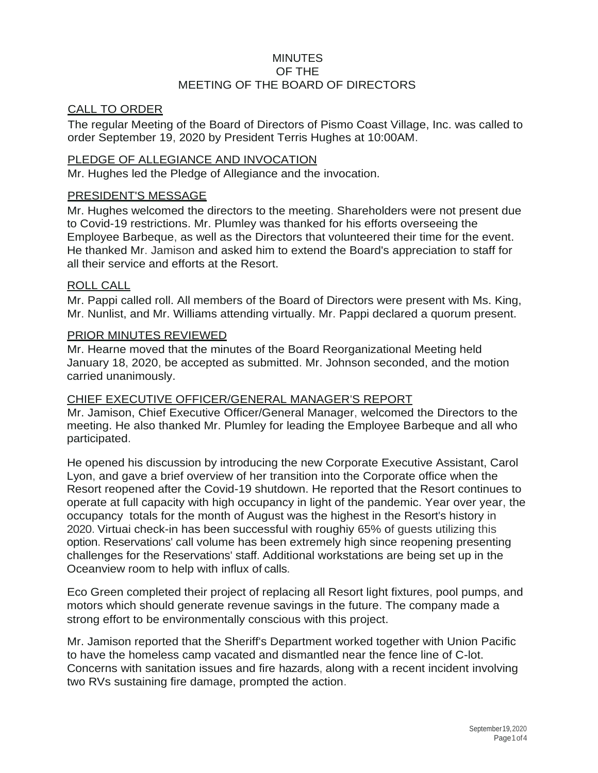## **MINUTES** OF THE MEETING OF THE BOARD OF DIRECTORS

### CALL TO ORDER

The regular Meeting of the Board of Directors of Pismo Coast Village, Inc. was called to order September 19, 2020 by President Terris Hughes at 10:00AM.

### PLEDGE OF ALLEGIANCE AND INVOCATION

Mr. Hughes led the Pledge of Allegiance and the invocation.

#### PRESIDENT'S MESSAGE

Mr. Hughes welcomed the directors to the meeting. Shareholders were not present due to Covid-19 restrictions. Mr. Plumley was thanked for his efforts overseeing the Employee Barbeque, as well as the Directors that volunteered their time for the event. He thanked Mr. Jamison and asked him to extend the Board's appreciation to staff for all their service and efforts at the Resort.

#### ROLL CALL

Mr. Pappi called roll. All members of the Board of Directors were present with Ms. King, Mr. Nunlist, and Mr. Williams attending virtually. Mr. Pappi declared a quorum present.

#### PRIOR MINUTES REVIEWED

Mr. Hearne moved that the minutes of the Board Reorganizational Meeting held January 18, 2020, be accepted as submitted. Mr. Johnson seconded, and the motion carried unanimously.

### CHIEF EXECUTIVE OFFICER/GENERAL MANAGER'S REPORT

Mr. Jamison, Chief Executive Officer/General Manager, welcomed the Directors to the meeting. He also thanked Mr. Plumley for leading the Employee Barbeque and all who participated.

He opened his discussion by introducing the new Corporate Executive Assistant, Carol Lyon, and gave a brief overview of her transition into the Corporate office when the Resort reopened after the Covid-19 shutdown. He reported that the Resort continues to operate at full capacity with high occupancy in light of the pandemic. Year over year, the occupancy totals for the month of August was the highest in the Resort's history in 2020. Virtuai check-in has been successful with roughiy 65% of guests utilizing this option. Reservations' call volume has been extremely high since reopening presenting challenges for the Reservations' staff. Additional workstations are being set up in the Oceanview room to help with influx of calls.

Eco Green completed their project of replacing all Resort light fixtures, pool pumps, and motors which should generate revenue savings in the future. The company made a strong effort to be environmentally conscious with this project.

Mr. Jamison reported that the Sheriff's Department worked together with Union Pacific to have the homeless camp vacated and dismantled near the fence line of C-lot. Concerns with sanitation issues and fire hazards, along with a recent incident involving two RVs sustaining fire damage, prompted the action.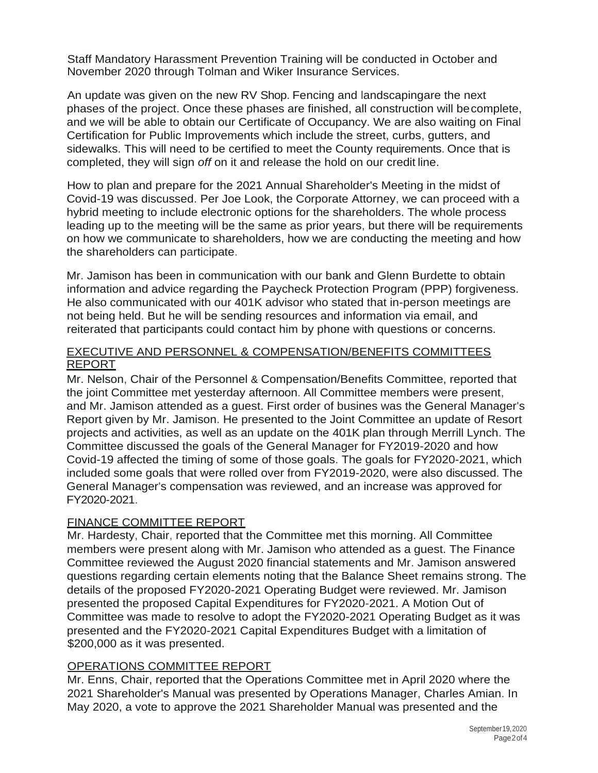Staff Mandatory Harassment Prevention Training will be conducted in October and November 2020 through Tolman and Wiker Insurance Services.

An update was given on the new RV Shop. Fencing and landscapingare the next phases of the project. Once these phases are finished, all construction will becomplete, and we will be able to obtain our Certificate of Occupancy. We are also waiting on Final Certification for Public Improvements which include the street, curbs, gutters, and sidewalks. This will need to be certified to meet the County requirements. Once that is completed, they will sign *off* on it and release the hold on our credit line.

How to plan and prepare for the 2021 Annual Shareholder's Meeting in the midst of Covid-19 was discussed. Per Joe Look, the Corporate Attorney, we can proceed with a hybrid meeting to include electronic options for the shareholders. The whole process leading up to the meeting will be the same as prior years, but there will be requirements on how we communicate to shareholders, how we are conducting the meeting and how the shareholders can participate.

Mr. Jamison has been in communication with our bank and Glenn Burdette to obtain information and advice regarding the Paycheck Protection Program (PPP) forgiveness. He also communicated with our 401K advisor who stated that in-person meetings are not being held. But he will be sending resources and information via email, and reiterated that participants could contact him by phone with questions or concerns.

### EXECUTIVE AND PERSONNEL & COMPENSATION/BENEFITS COMMITTEES REPORT

Mr. Nelson, Chair of the Personnel & Compensation/Benefits Committee, reported that the joint Committee met yesterday afternoon. All Committee members were present, and Mr. Jamison attended as a guest. First order of busines was the General Manager's Report given by Mr. Jamison. He presented to the Joint Committee an update of Resort projects and activities, as well as an update on the 401K plan through Merrill Lynch. The Committee discussed the goals of the General Manager for FY2019-2020 and how Covid-19 affected the timing of some of those goals. The goals for FY2020-2021, which included some goals that were rolled over from FY2019-2020, were also discussed. The General Manager's compensation was reviewed, and an increase was approved for FY2020-2021.

## FINANCE COMMITTEE REPORT

Mr. Hardesty, Chair, reported that the Committee met this morning. All Committee members were present along with Mr. Jamison who attended as a guest. The Finance Committee reviewed the August 2020 financial statements and Mr. Jamison answered questions regarding certain elements noting that the Balance Sheet remains strong. The details of the proposed FY2020-2021 Operating Budget were reviewed. Mr. Jamison presented the proposed Capital Expenditures for FY2020-2021. A Motion Out of Committee was made to resolve to adopt the FY2020-2021 Operating Budget as it was presented and the FY2020-2021 Capital Expenditures Budget with a limitation of \$200,000 as it was presented.

# OPERATIONS COMMITTEE REPORT

Mr. Enns, Chair, reported that the Operations Committee met in April 2020 where the 2021 Shareholder's Manual was presented by Operations Manager, Charles Amian. In May 2020, a vote to approve the 2021 Shareholder Manual was presented and the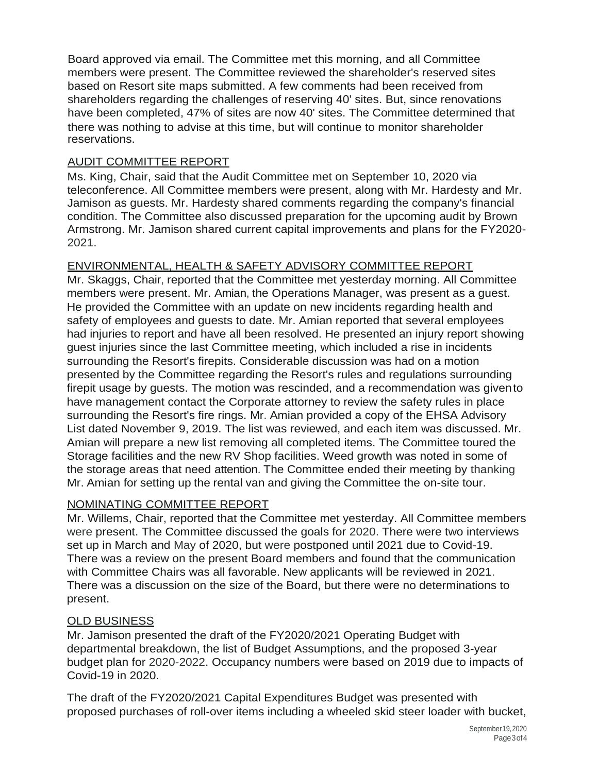Board approved via email. The Committee met this morning, and all Committee members were present. The Committee reviewed the shareholder's reserved sites based on Resort site maps submitted. A few comments had been received from shareholders regarding the challenges of reserving 40' sites. But, since renovations have been completed, 47% of sites are now 40' sites. The Committee determined that there was nothing to advise at this time, but will continue to monitor shareholder reservations.

## AUDIT COMMITTEE REPORT

Ms. King, Chair, said that the Audit Committee met on September 10, 2020 via teleconference. All Committee members were present, along with Mr. Hardesty and Mr. Jamison as guests. Mr. Hardesty shared comments regarding the company's financial condition. The Committee also discussed preparation for the upcoming audit by Brown Armstrong. Mr. Jamison shared current capital improvements and plans for the FY2020- 2021.

# ENVIRONMENTAL, HEALTH & SAFETY ADVISORY COMMITTEE REPORT

Mr. Skaggs, Chair, reported that the Committee met yesterday morning. All Committee members were present. Mr. Amian, the Operations Manager, was present as a guest. He provided the Committee with an update on new incidents regarding health and safety of employees and guests to date. Mr. Amian reported that several employees had injuries to report and have all been resolved. He presented an injury report showing guest injuries since the last Committee meeting, which included a rise in incidents surrounding the Resort's firepits. Considerable discussion was had on a motion presented by the Committee regarding the Resort's rules and regulations surrounding firepit usage by guests. The motion was rescinded, and a recommendation was givento have management contact the Corporate attorney to review the safety rules in place surrounding the Resort's fire rings. Mr. Amian provided a copy of the EHSA Advisory List dated November 9, 2019. The list was reviewed, and each item was discussed. Mr. Amian will prepare a new list removing all completed items. The Committee toured the Storage facilities and the new RV Shop facilities. Weed growth was noted in some of the storage areas that need attention. The Committee ended their meeting by thanking Mr. Amian for setting up the rental van and giving the Committee the on-site tour.

## NOMINATING COMMITTEE REPORT

Mr. Willems, Chair, reported that the Committee met yesterday. All Committee members were present. The Committee discussed the goals for 2020. There were two interviews set up in March and May of 2020, but were postponed until 2021 due to Covid-19. There was a review on the present Board members and found that the communication with Committee Chairs was all favorable. New applicants will be reviewed in 2021. There was a discussion on the size of the Board, but there were no determinations to present.

## OLD BUSINESS

Mr. Jamison presented the draft of the FY2020/2021 Operating Budget with departmental breakdown, the list of Budget Assumptions, and the proposed 3-year budget plan for 2020-2022. Occupancy numbers were based on 2019 due to impacts of Covid-19 in 2020.

The draft of the FY2020/2021 Capital Expenditures Budget was presented with proposed purchases of roll-over items including a wheeled skid steer loader with bucket,